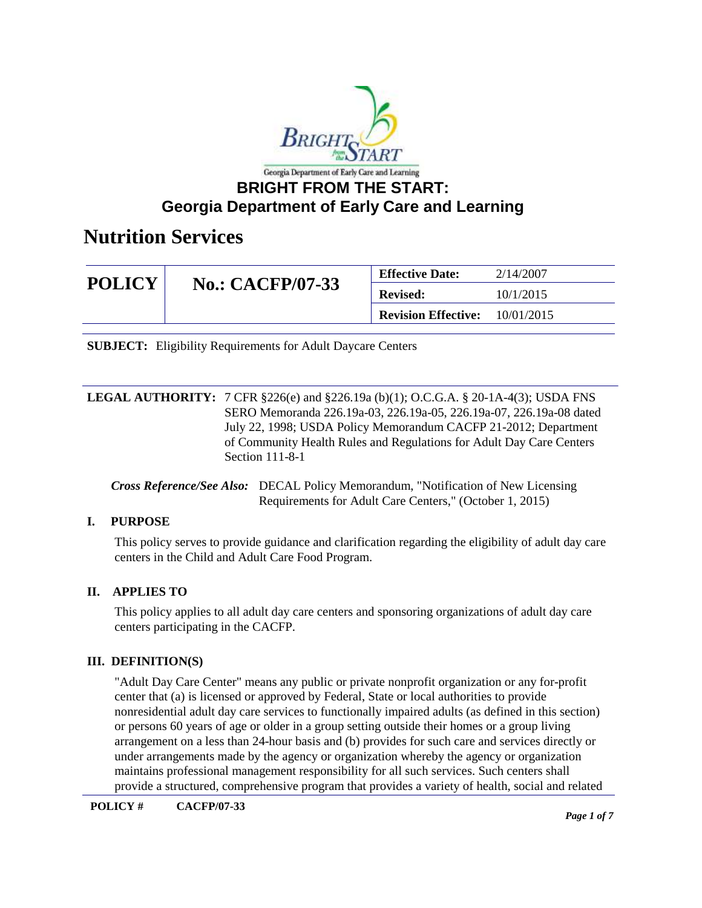

| <b>POLICY</b> |                         | <b>Effective Date:</b>     | 2/14/2007  |
|---------------|-------------------------|----------------------------|------------|
|               | <b>No.: CACFP/07-33</b> | <b>Revised:</b>            | 10/1/2015  |
|               |                         | <b>Revision Effective:</b> | 10/01/2015 |

**SUBJECT:** Eligibility Requirements for Adult Daycare Centers

**LEGAL AUTHORITY:** 7 CFR §226(e) and §226.19a (b)(1); O.C.G.A. § 20-1A-4(3); USDA FNS SERO Memoranda 226.19a-03, 226.19a-05, 226.19a-07, 226.19a-08 dated July 22, 1998; USDA Policy Memorandum CACFP 21-2012; Department of Community Health Rules and Regulations for Adult Day Care Centers Section 111-8-1

*Cross Reference/See Also:* DECAL Policy Memorandum, "Notification of New Licensing Requirements for Adult Care Centers," (October 1, 2015)

### **I. PURPOSE**

This policy serves to provide guidance and clarification regarding the eligibility of adult day care centers in the Child and Adult Care Food Program.

#### **II. APPLIES TO**

This policy applies to all adult day care centers and sponsoring organizations of adult day care centers participating in the CACFP.

#### **III. DEFINITION(S)**

"Adult Day Care Center" means any public or private nonprofit organization or any for-profit center that (a) is licensed or approved by Federal, State or local authorities to provide nonresidential adult day care services to functionally impaired adults (as defined in this section) or persons 60 years of age or older in a group setting outside their homes or a group living arrangement on a less than 24-hour basis and (b) provides for such care and services directly or under arrangements made by the agency or organization whereby the agency or organization maintains professional management responsibility for all such services. Such centers shall provide a structured, comprehensive program that provides a variety of health, social and related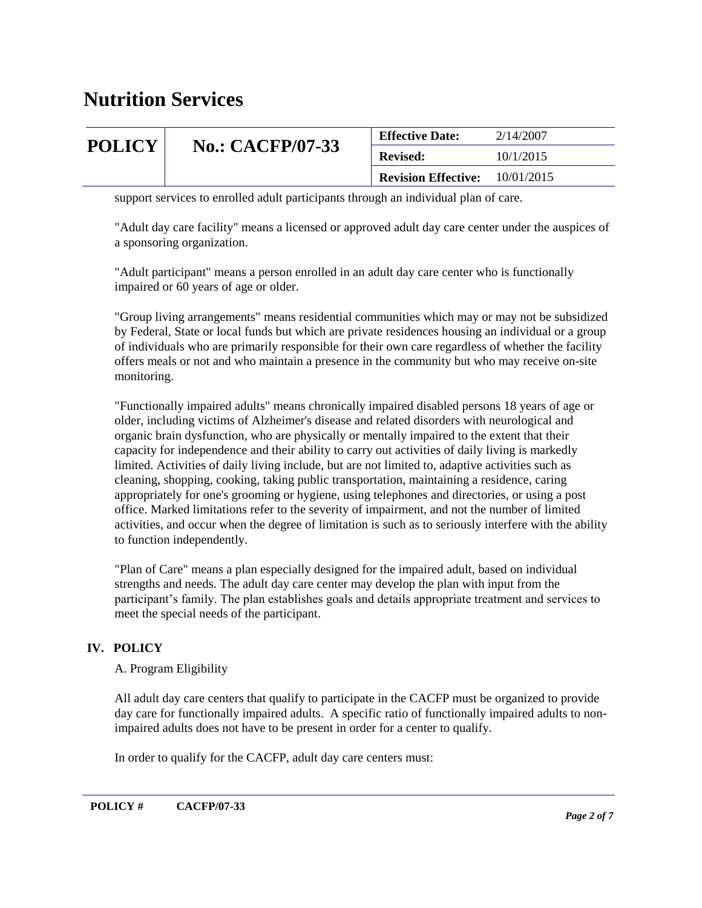| <b>POLICY</b> |                         | <b>Effective Date:</b>     | 2/14/2007  |
|---------------|-------------------------|----------------------------|------------|
|               | <b>No.: CACFP/07-33</b> | <b>Revised:</b>            | 10/1/2015  |
|               |                         | <b>Revision Effective:</b> | 10/01/2015 |

support services to enrolled adult participants through an individual plan of care.

"Adult day care facility" means a licensed or approved adult day care center under the auspices of a sponsoring organization.

"Adult participant" means a person enrolled in an adult day care center who is functionally impaired or 60 years of age or older.

"Group living arrangements" means residential communities which may or may not be subsidized by Federal, State or local funds but which are private residences housing an individual or a group of individuals who are primarily responsible for their own care regardless of whether the facility offers meals or not and who maintain a presence in the community but who may receive on-site monitoring.

"Functionally impaired adults" means chronically impaired disabled persons 18 years of age or older, including victims of Alzheimer's disease and related disorders with neurological and organic brain dysfunction, who are physically or mentally impaired to the extent that their capacity for independence and their ability to carry out activities of daily living is markedly limited. Activities of daily living include, but are not limited to, adaptive activities such as cleaning, shopping, cooking, taking public transportation, maintaining a residence, caring appropriately for one's grooming or hygiene, using telephones and directories, or using a post office. Marked limitations refer to the severity of impairment, and not the number of limited activities, and occur when the degree of limitation is such as to seriously interfere with the ability to function independently.

"Plan of Care" means a plan especially designed for the impaired adult, based on individual strengths and needs. The adult day care center may develop the plan with input from the participant's family. The plan establishes goals and details appropriate treatment and services to meet the special needs of the participant.

### **IV. POLICY**

A. Program Eligibility

All adult day care centers that qualify to participate in the CACFP must be organized to provide day care for functionally impaired adults. A specific ratio of functionally impaired adults to nonimpaired adults does not have to be present in order for a center to qualify.

In order to qualify for the CACFP, adult day care centers must: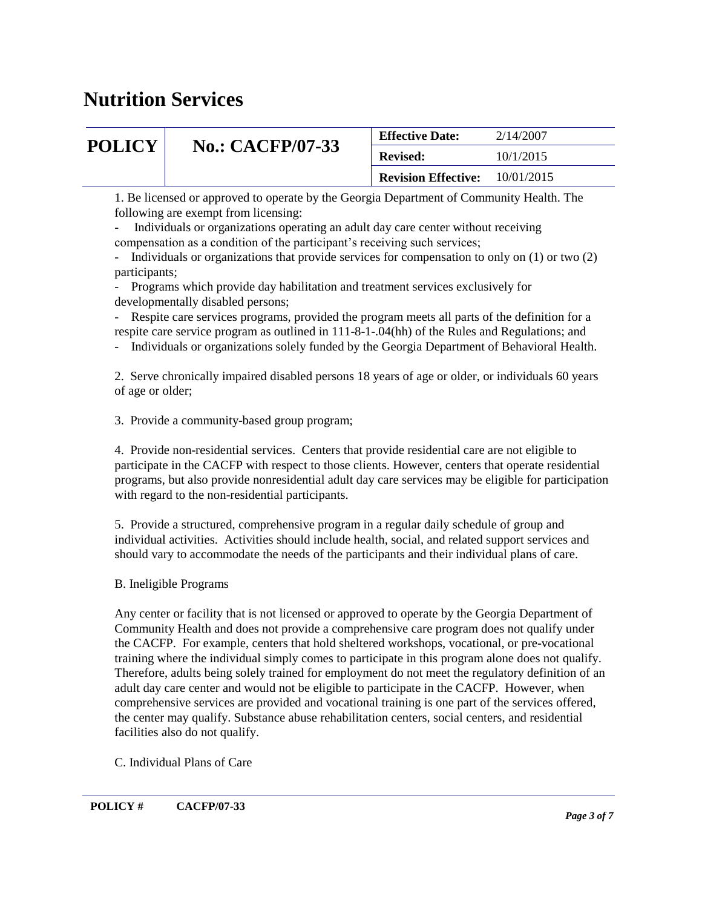| <b>POLICY</b> |                         | <b>Effective Date:</b>     | 2/14/2007  |
|---------------|-------------------------|----------------------------|------------|
|               | <b>No.: CACFP/07-33</b> | <b>Revised:</b>            | 10/1/2015  |
|               |                         | <b>Revision Effective:</b> | 10/01/2015 |

1. Be licensed or approved to operate by the Georgia Department of Community Health. The following are exempt from licensing:

- Individuals or organizations operating an adult day care center without receiving compensation as a condition of the participant's receiving such services;

- Individuals or organizations that provide services for compensation to only on (1) or two (2) participants;

- Programs which provide day habilitation and treatment services exclusively for developmentally disabled persons;

- Respite care services programs, provided the program meets all parts of the definition for a respite care service program as outlined in 111-8-1-.04(hh) of the Rules and Regulations; and

- Individuals or organizations solely funded by the Georgia Department of Behavioral Health.

2. Serve chronically impaired disabled persons 18 years of age or older, or individuals 60 years of age or older;

3. Provide a community-based group program;

4. Provide non-residential services. Centers that provide residential care are not eligible to participate in the CACFP with respect to those clients. However, centers that operate residential programs, but also provide nonresidential adult day care services may be eligible for participation with regard to the non-residential participants.

5. Provide a structured, comprehensive program in a regular daily schedule of group and individual activities. Activities should include health, social, and related support services and should vary to accommodate the needs of the participants and their individual plans of care.

B. Ineligible Programs

Any center or facility that is not licensed or approved to operate by the Georgia Department of Community Health and does not provide a comprehensive care program does not qualify under the CACFP. For example, centers that hold sheltered workshops, vocational, or pre-vocational training where the individual simply comes to participate in this program alone does not qualify. Therefore, adults being solely trained for employment do not meet the regulatory definition of an adult day care center and would not be eligible to participate in the CACFP. However, when comprehensive services are provided and vocational training is one part of the services offered, the center may qualify. Substance abuse rehabilitation centers, social centers, and residential facilities also do not qualify.

C. Individual Plans of Care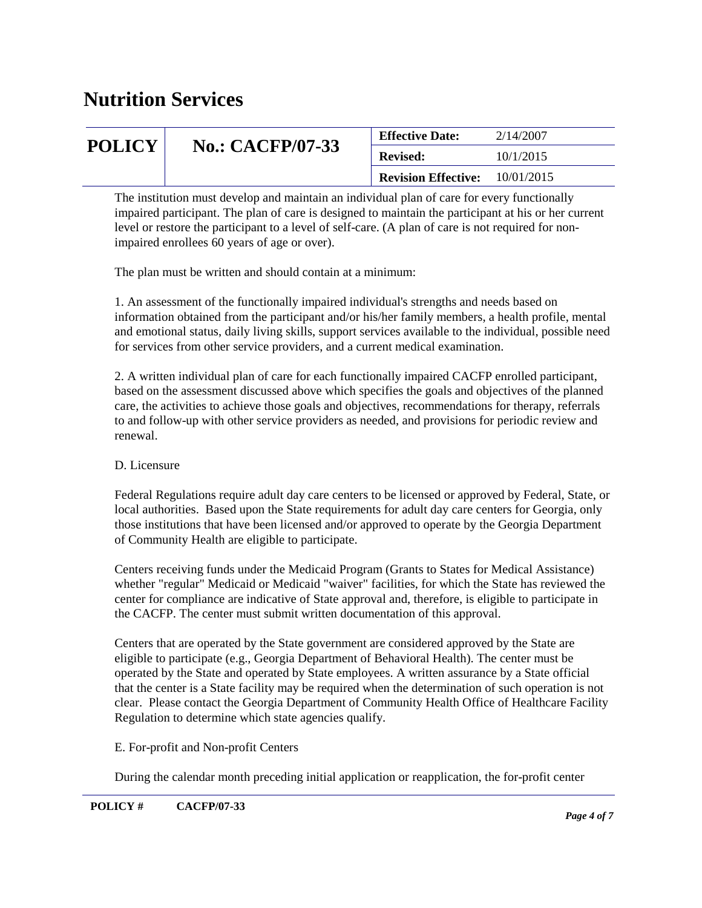| <b>POLICY</b> |                         | <b>Effective Date:</b>     | 2/14/2007  |
|---------------|-------------------------|----------------------------|------------|
|               | <b>No.: CACFP/07-33</b> | <b>Revised:</b>            | 10/1/2015  |
|               |                         | <b>Revision Effective:</b> | 10/01/2015 |
|               |                         |                            |            |

The institution must develop and maintain an individual plan of care for every functionally impaired participant. The plan of care is designed to maintain the participant at his or her current level or restore the participant to a level of self-care. (A plan of care is not required for nonimpaired enrollees 60 years of age or over).

The plan must be written and should contain at a minimum:

1. An assessment of the functionally impaired individual's strengths and needs based on information obtained from the participant and/or his/her family members, a health profile, mental and emotional status, daily living skills, support services available to the individual, possible need for services from other service providers, and a current medical examination.

2. A written individual plan of care for each functionally impaired CACFP enrolled participant, based on the assessment discussed above which specifies the goals and objectives of the planned care, the activities to achieve those goals and objectives, recommendations for therapy, referrals to and follow-up with other service providers as needed, and provisions for periodic review and renewal.

### D. Licensure

Federal Regulations require adult day care centers to be licensed or approved by Federal, State, or local authorities. Based upon the State requirements for adult day care centers for Georgia, only those institutions that have been licensed and/or approved to operate by the Georgia Department of Community Health are eligible to participate.

Centers receiving funds under the Medicaid Program (Grants to States for Medical Assistance) whether "regular" Medicaid or Medicaid "waiver" facilities, for which the State has reviewed the center for compliance are indicative of State approval and, therefore, is eligible to participate in the CACFP. The center must submit written documentation of this approval.

Centers that are operated by the State government are considered approved by the State are eligible to participate (e.g., Georgia Department of Behavioral Health). The center must be operated by the State and operated by State employees. A written assurance by a State official that the center is a State facility may be required when the determination of such operation is not clear. Please contact the Georgia Department of Community Health Office of Healthcare Facility Regulation to determine which state agencies qualify.

### E. For-profit and Non-profit Centers

During the calendar month preceding initial application or reapplication, the for-profit center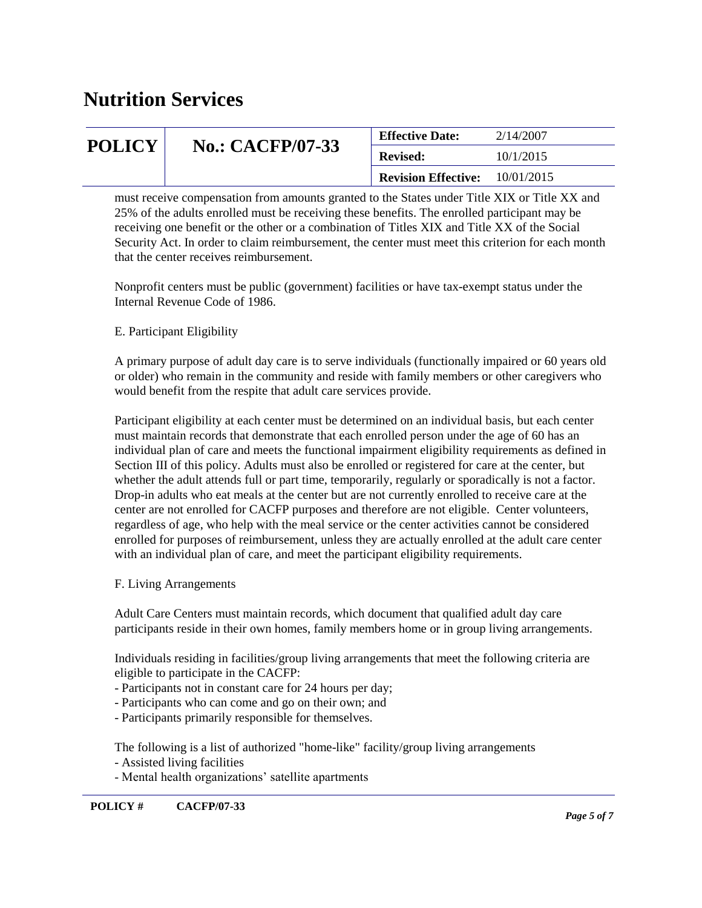| <b>POLICY</b> |                         | <b>Effective Date:</b>     | 2/14/2007  |
|---------------|-------------------------|----------------------------|------------|
|               | <b>No.: CACFP/07-33</b> | <b>Revised:</b>            | 10/1/2015  |
|               |                         | <b>Revision Effective:</b> | 10/01/2015 |

must receive compensation from amounts granted to the States under Title XIX or Title XX and 25% of the adults enrolled must be receiving these benefits. The enrolled participant may be receiving one benefit or the other or a combination of Titles XIX and Title XX of the Social Security Act. In order to claim reimbursement, the center must meet this criterion for each month that the center receives reimbursement.

Nonprofit centers must be public (government) facilities or have tax-exempt status under the Internal Revenue Code of 1986.

### E. Participant Eligibility

A primary purpose of adult day care is to serve individuals (functionally impaired or 60 years old or older) who remain in the community and reside with family members or other caregivers who would benefit from the respite that adult care services provide.

Participant eligibility at each center must be determined on an individual basis, but each center must maintain records that demonstrate that each enrolled person under the age of 60 has an individual plan of care and meets the functional impairment eligibility requirements as defined in Section III of this policy. Adults must also be enrolled or registered for care at the center, but whether the adult attends full or part time, temporarily, regularly or sporadically is not a factor. Drop-in adults who eat meals at the center but are not currently enrolled to receive care at the center are not enrolled for CACFP purposes and therefore are not eligible. Center volunteers, regardless of age, who help with the meal service or the center activities cannot be considered enrolled for purposes of reimbursement, unless they are actually enrolled at the adult care center with an individual plan of care, and meet the participant eligibility requirements.

#### F. Living Arrangements

Adult Care Centers must maintain records, which document that qualified adult day care participants reside in their own homes, family members home or in group living arrangements.

Individuals residing in facilities/group living arrangements that meet the following criteria are eligible to participate in the CACFP:

- Participants not in constant care for 24 hours per day;
- Participants who can come and go on their own; and
- Participants primarily responsible for themselves.

The following is a list of authorized "home-like" facility/group living arrangements

- Assisted living facilities
- Mental health organizations' satellite apartments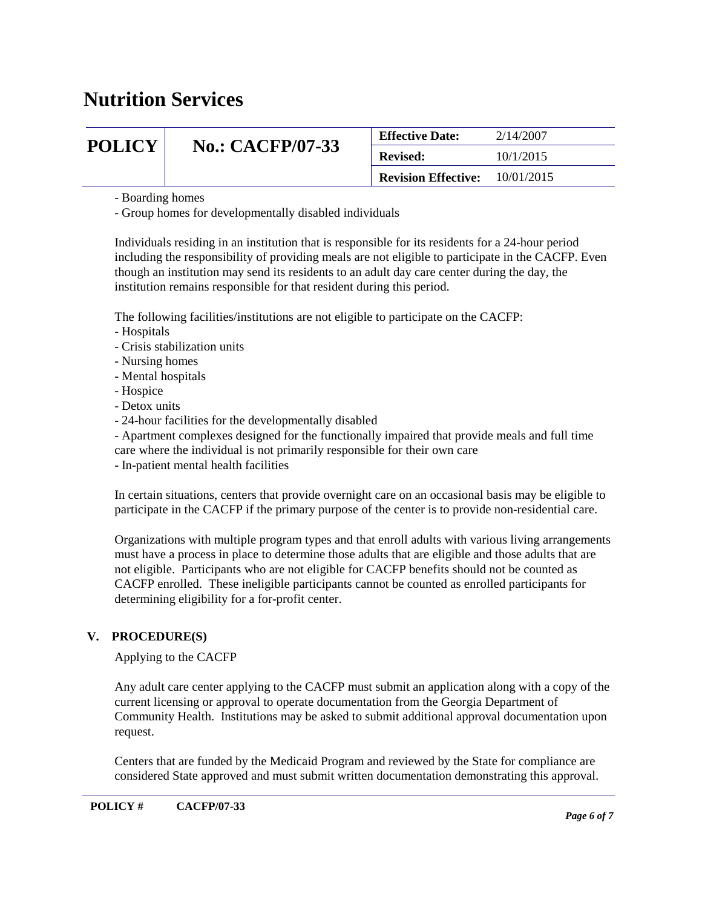| <b>POLICY</b> |                         | <b>Effective Date:</b>     | 2/14/2007  |
|---------------|-------------------------|----------------------------|------------|
|               | <b>No.: CACFP/07-33</b> | <b>Revised:</b>            | 10/1/2015  |
|               |                         | <b>Revision Effective:</b> | 10/01/2015 |

- Boarding homes

- Group homes for developmentally disabled individuals

Individuals residing in an institution that is responsible for its residents for a 24-hour period including the responsibility of providing meals are not eligible to participate in the CACFP. Even though an institution may send its residents to an adult day care center during the day, the institution remains responsible for that resident during this period.

The following facilities/institutions are not eligible to participate on the CACFP:

- Hospitals
- Crisis stabilization units
- Nursing homes
- Mental hospitals
- Hospice
- Detox units
- 24-hour facilities for the developmentally disabled

- Apartment complexes designed for the functionally impaired that provide meals and full time

- care where the individual is not primarily responsible for their own care
- In-patient mental health facilities

In certain situations, centers that provide overnight care on an occasional basis may be eligible to participate in the CACFP if the primary purpose of the center is to provide non-residential care.

Organizations with multiple program types and that enroll adults with various living arrangements must have a process in place to determine those adults that are eligible and those adults that are not eligible. Participants who are not eligible for CACFP benefits should not be counted as CACFP enrolled. These ineligible participants cannot be counted as enrolled participants for determining eligibility for a for-profit center.

### **V. PROCEDURE(S)**

Applying to the CACFP

Any adult care center applying to the CACFP must submit an application along with a copy of the current licensing or approval to operate documentation from the Georgia Department of Community Health. Institutions may be asked to submit additional approval documentation upon request.

Centers that are funded by the Medicaid Program and reviewed by the State for compliance are considered State approved and must submit written documentation demonstrating this approval.